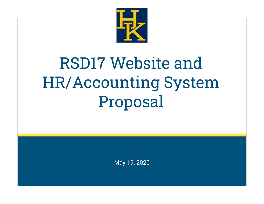

# RSD17 Website and HR/Accounting System Proposal

May 19, 2020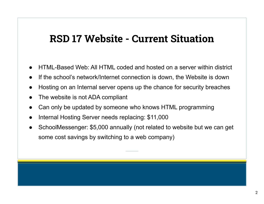#### **RSD 17 Website - Current Situation**

- HTML-Based Web: All HTML coded and hosted on a server within district
- If the school's network/Internet connection is down, the Website is down
- Hosting on an Internal server opens up the chance for security breaches
- The website is not ADA compliant
- Can only be updated by someone who knows HTML programming
- Internal Hosting Server needs replacing: \$11,000
- SchoolMessenger: \$5,000 annually (not related to website but we can get some cost savings by switching to a web company)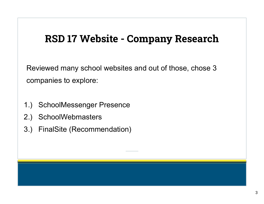### **RSD 17 Website - Company Research**

Reviewed many school websites and out of those, chose 3 companies to explore:

- 1.) SchoolMessenger Presence
- 2.) SchoolWebmasters
- 3.) FinalSite (Recommendation)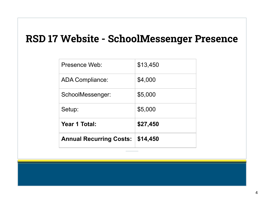# **RSD 17 Website - SchoolMessenger Presence**

| <b>Annual Recurring Costs:</b> | \$14,450 |
|--------------------------------|----------|
| <b>Year 1 Total:</b>           | \$27,450 |
| Setup:                         | \$5,000  |
| SchoolMessenger:               | \$5,000  |
| <b>ADA Compliance:</b>         | \$4,000  |
| Presence Web:                  | \$13,450 |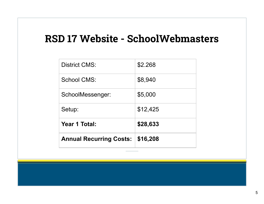#### **RSD 17 Website - SchoolWebmasters**

| <b>Annual Recurring Costs:</b> | \$16,208 |
|--------------------------------|----------|
| <b>Year 1 Total:</b>           | \$28,633 |
| Setup:                         | \$12,425 |
| SchoolMessenger:               | \$5,000  |
| School CMS:                    | \$8,940  |
| <b>District CMS:</b>           | \$2.268  |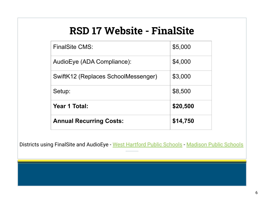# **RSD 17 Website - FinalSite**

| <b>Annual Recurring Costs:</b>      | \$14,750 |
|-------------------------------------|----------|
| Year 1 Total:                       | \$20,500 |
| Setup:                              | \$8,500  |
| SwiftK12 (Replaces SchoolMessenger) | \$3,000  |
| AudioEye (ADA Compliance):          | \$4,000  |
| <b>FinalSite CMS:</b>               | \$5,000  |

Districts using FinalSite and AudioEye - [West Hartford Public Schools](https://www.whps.org/) - [Madison Public Schools](https://www.madison.k12.ct.us/)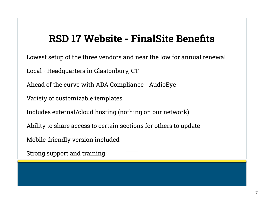### **RSD 17 Website - FinalSite Benefits**

Lowest setup of the three vendors and near the low for annual renewal

Local - Headquarters in Glastonbury, CT

Ahead of the curve with ADA Compliance - AudioEye

Variety of customizable templates

Includes external/cloud hosting (nothing on our network)

Ability to share access to certain sections for others to update

Mobile-friendly version included

Strong support and training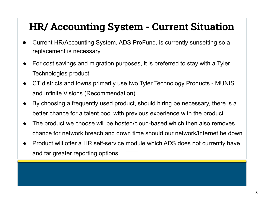# **HR/ Accounting System - Current Situation**

- Current HR/Accounting System, ADS ProFund, is currently sunsetting so a replacement is necessary
- For cost savings and migration purposes, it is preferred to stay with a Tyler Technologies product
- CT districts and towns primarily use two Tyler Technology Products MUNIS and Infinite Visions (Recommendation)
- By choosing a frequently used product, should hiring be necessary, there is a better chance for a talent pool with previous experience with the product
- The product we choose will be hosted/cloud-based which then also removes chance for network breach and down time should our network/Internet be down
- Product will offer a HR self-service module which ADS does not currently have and far greater reporting options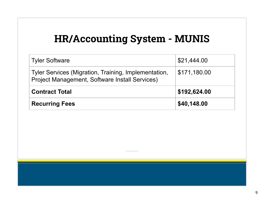## **HR/Accounting System - MUNIS**

| <b>Tyler Software</b>                                                                                  | \$21,444.00  |
|--------------------------------------------------------------------------------------------------------|--------------|
| Tyler Services (Migration, Training, Implementation,<br>Project Management, Software Install Services) | \$171,180.00 |
| <b>Contract Total</b>                                                                                  | \$192,624.00 |
| <b>Recurring Fees</b>                                                                                  | \$40,148.00  |